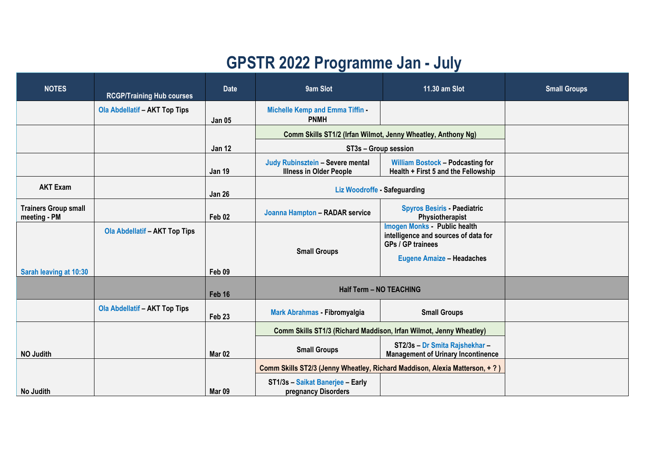## **GPSTR 2022 Programme Jan - July**

| <b>NOTES</b>                                | <b>RCGP/Training Hub courses</b>     | <b>Date</b>       | 9am Slot                                                                    | 11.30 am Slot                                                                                                                      | <b>Small Groups</b> |
|---------------------------------------------|--------------------------------------|-------------------|-----------------------------------------------------------------------------|------------------------------------------------------------------------------------------------------------------------------------|---------------------|
|                                             | <b>Ola Abdellatif - AKT Top Tips</b> | <b>Jan 05</b>     | <b>Michelle Kemp and Emma Tiffin</b><br><b>PNMH</b>                         |                                                                                                                                    |                     |
|                                             |                                      |                   | Comm Skills ST1/2 (Irfan Wilmot, Jenny Wheatley, Anthony Ng)                |                                                                                                                                    |                     |
|                                             |                                      | <b>Jan 12</b>     | ST3s - Group session                                                        |                                                                                                                                    |                     |
|                                             |                                      | <b>Jan 19</b>     | Judy Rubinsztein - Severe mental<br><b>Illness in Older People</b>          | <b>William Bostock - Podcasting for</b><br>Health + First 5 and the Fellowship                                                     |                     |
| <b>AKT Exam</b>                             |                                      | <b>Jan 26</b>     | Liz Woodroffe - Safeguarding                                                |                                                                                                                                    |                     |
| <b>Trainers Group small</b><br>meeting - PM |                                      | Feb 02            | Joanna Hampton - RADAR service                                              | <b>Spyros Besiris - Paediatric</b><br>Physiotherapist                                                                              |                     |
|                                             | <b>Ola Abdellatif - AKT Top Tips</b> |                   | <b>Small Groups</b>                                                         | <b>Imogen Monks</b> Public health<br>intelligence and sources of data for<br>GPs / GP trainees<br><b>Eugene Amaize - Headaches</b> |                     |
| Sarah leaving at 10:30                      |                                      | Feb 09            |                                                                             |                                                                                                                                    |                     |
|                                             |                                      | Feb 16            | <b>Half Term - NO TEACHING</b>                                              |                                                                                                                                    |                     |
|                                             | <b>Ola Abdellatif - AKT Top Tips</b> | Feb 23            | <b>Mark Abrahmas - Fibromyalgia</b>                                         | <b>Small Groups</b>                                                                                                                |                     |
|                                             |                                      |                   | Comm Skills ST1/3 (Richard Maddison, Irfan Wilmot, Jenny Wheatley)          |                                                                                                                                    |                     |
| <b>NO Judith</b>                            |                                      | Mar <sub>02</sub> | <b>Small Groups</b>                                                         | ST2/3s - Dr Smita Rajshekhar -<br><b>Management of Urinary Incontinence</b>                                                        |                     |
|                                             |                                      |                   | Comm Skills ST2/3 (Jenny Wheatley, Richard Maddison, Alexia Matterson, + ?) |                                                                                                                                    |                     |
| No Judith                                   |                                      | Mar <sub>09</sub> | ST1/3s - Saikat Banerjee - Early<br>pregnancy Disorders                     |                                                                                                                                    |                     |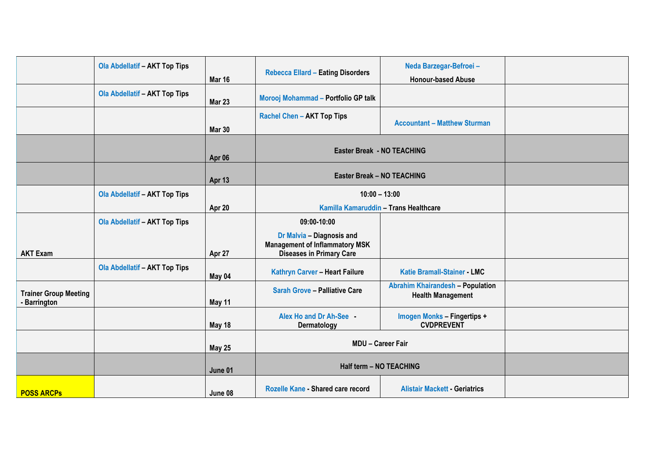|                                              | <b>Ola Abdellatif - AKT Top Tips</b> | Mar 16        | <b>Rebecca Ellard - Eating Disorders</b>                                                              | Neda Barzegar-Befroei-<br><b>Honour-based Abuse</b>                 |  |
|----------------------------------------------|--------------------------------------|---------------|-------------------------------------------------------------------------------------------------------|---------------------------------------------------------------------|--|
|                                              | <b>Ola Abdellatif - AKT Top Tips</b> | Mar 23        | Morooj Mohammad - Portfolio GP talk                                                                   |                                                                     |  |
|                                              |                                      | <b>Mar 30</b> | <b>Rachel Chen - AKT Top Tips</b>                                                                     | <b>Accountant - Matthew Sturman</b>                                 |  |
|                                              |                                      | Apr 06        | Easter Break - NO TEACHING                                                                            |                                                                     |  |
|                                              |                                      | Apr 13        | <b>Easter Break - NO TEACHING</b>                                                                     |                                                                     |  |
|                                              | <b>Ola Abdellatif - AKT Top Tips</b> | Apr 20        | $10:00 - 13:00$<br>Kamilla Kamaruddin - Trans Healthcare                                              |                                                                     |  |
|                                              | <b>Ola Abdellatif - AKT Top Tips</b> |               | 09:00-10:00                                                                                           |                                                                     |  |
| <b>AKT Exam</b>                              |                                      | Apr 27        | Dr Malvia - Diagnosis and<br><b>Management of Inflammatory MSK</b><br><b>Diseases in Primary Care</b> |                                                                     |  |
|                                              | <b>Ola Abdellatif - AKT Top Tips</b> | May 04        | Kathryn Carver - Heart Failure                                                                        | <b>Katie Bramall-Stainer - LMC</b>                                  |  |
| <b>Trainer Group Meeting</b><br>- Barrington |                                      | May 11        | <b>Sarah Grove - Palliative Care</b>                                                                  | <b>Abrahim Khairandesh - Population</b><br><b>Health Management</b> |  |
|                                              |                                      | May 18        | Alex Ho and Dr Ah-See<br>Dermatology                                                                  | <b>Imogen Monks - Fingertips +</b><br><b>CVDPREVENT</b>             |  |
|                                              |                                      | <b>May 25</b> | <b>MDU - Career Fair</b>                                                                              |                                                                     |  |
|                                              |                                      | June 01       | Half term - NO TEACHING                                                                               |                                                                     |  |
| <b>POSS ARCPS</b>                            |                                      | June 08       | Rozelle Kane - Shared care record                                                                     | <b>Alistair Mackett - Geriatrics</b>                                |  |